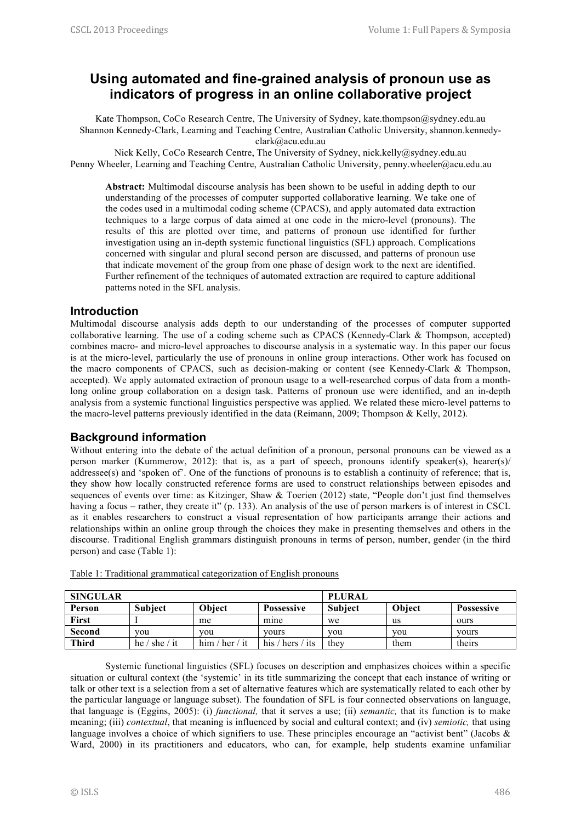# **Using automated and fine-grained analysis of pronoun use as indicators of progress in an online collaborative project**

Kate Thompson, CoCo Research Centre, The University of Sydney, kate.thompson@sydney.edu.au Shannon Kennedy-Clark, Learning and Teaching Centre, Australian Catholic University, shannon.kennedyclark@acu.edu.au

Nick Kelly, CoCo Research Centre, The University of Sydney, nick.kelly@sydney.edu.au Penny Wheeler, Learning and Teaching Centre, Australian Catholic University, penny.wheeler@acu.edu.au

**Abstract:** Multimodal discourse analysis has been shown to be useful in adding depth to our understanding of the processes of computer supported collaborative learning. We take one of the codes used in a multimodal coding scheme (CPACS), and apply automated data extraction techniques to a large corpus of data aimed at one code in the micro-level (pronouns). The results of this are plotted over time, and patterns of pronoun use identified for further investigation using an in-depth systemic functional linguistics (SFL) approach. Complications concerned with singular and plural second person are discussed, and patterns of pronoun use that indicate movement of the group from one phase of design work to the next are identified. Further refinement of the techniques of automated extraction are required to capture additional patterns noted in the SFL analysis.

### **Introduction**

Multimodal discourse analysis adds depth to our understanding of the processes of computer supported collaborative learning. The use of a coding scheme such as CPACS (Kennedy-Clark & Thompson, accepted) combines macro- and micro-level approaches to discourse analysis in a systematic way. In this paper our focus is at the micro-level, particularly the use of pronouns in online group interactions. Other work has focused on the macro components of CPACS, such as decision-making or content (see Kennedy-Clark & Thompson, accepted). We apply automated extraction of pronoun usage to a well-researched corpus of data from a monthlong online group collaboration on a design task. Patterns of pronoun use were identified, and an in-depth analysis from a systemic functional linguistics perspective was applied. We related these micro-level patterns to the macro-level patterns previously identified in the data (Reimann, 2009; Thompson & Kelly, 2012).

# **Background information**

Without entering into the debate of the actual definition of a pronoun, personal pronouns can be viewed as a person marker (Kummerow, 2012): that is, as a part of speech, pronouns identify speaker(s), hearer(s)/ addressee(s) and 'spoken of'. One of the functions of pronouns is to establish a continuity of reference; that is, they show how locally constructed reference forms are used to construct relationships between episodes and sequences of events over time: as Kitzinger, Shaw & Toerien (2012) state, "People don't just find themselves having a focus – rather, they create it" (p. 133). An analysis of the use of person markers is of interest in CSCL as it enables researchers to construct a visual representation of how participants arrange their actions and relationships within an online group through the choices they make in presenting themselves and others in the discourse. Traditional English grammars distinguish pronouns in terms of person, number, gender (in the third person) and case (Table 1):

| <b>SINGULAR</b> |                |                | <b>PLURAL</b>     |                |        |                   |
|-----------------|----------------|----------------|-------------------|----------------|--------|-------------------|
| Person          | <b>Subject</b> | <b>Object</b>  | <b>Possessive</b> | <b>Subject</b> | Obiect | <b>Possessive</b> |
| First           |                | me             | mine              | we             | us     | ours              |
| Second          | vou            | you            | vours             | you            | you    | vours             |
| <b>Third</b>    | he / she / it  | him / her / it | his / hers / its  | they           | them   | theirs            |

Table 1: Traditional grammatical categorization of English pronouns

Systemic functional linguistics (SFL) focuses on description and emphasizes choices within a specific situation or cultural context (the 'systemic' in its title summarizing the concept that each instance of writing or talk or other text is a selection from a set of alternative features which are systematically related to each other by the particular language or language subset). The foundation of SFL is four connected observations on language, that language is (Eggins, 2005): (i) *functional,* that it serves a use; (ii) *semantic,* that its function is to make meaning; (iii) *contextual*, that meaning is influenced by social and cultural context; and (iv) *semiotic,* that using language involves a choice of which signifiers to use. These principles encourage an "activist bent" (Jacobs & Ward, 2000) in its practitioners and educators, who can, for example, help students examine unfamiliar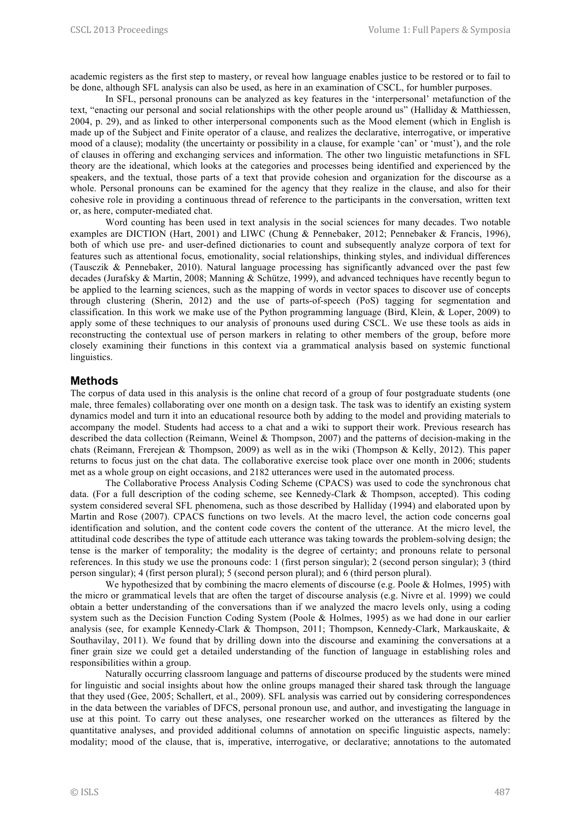academic registers as the first step to mastery, or reveal how language enables justice to be restored or to fail to be done, although SFL analysis can also be used, as here in an examination of CSCL, for humbler purposes.

In SFL, personal pronouns can be analyzed as key features in the 'interpersonal' metafunction of the text, "enacting our personal and social relationships with the other people around us" (Halliday & Matthiessen, 2004, p. 29), and as linked to other interpersonal components such as the Mood element (which in English is made up of the Subject and Finite operator of a clause, and realizes the declarative, interrogative, or imperative mood of a clause); modality (the uncertainty or possibility in a clause, for example 'can' or 'must'), and the role of clauses in offering and exchanging services and information. The other two linguistic metafunctions in SFL theory are the ideational, which looks at the categories and processes being identified and experienced by the speakers, and the textual, those parts of a text that provide cohesion and organization for the discourse as a whole. Personal pronouns can be examined for the agency that they realize in the clause, and also for their cohesive role in providing a continuous thread of reference to the participants in the conversation, written text or, as here, computer-mediated chat.

Word counting has been used in text analysis in the social sciences for many decades. Two notable examples are DICTION (Hart, 2001) and LIWC (Chung & Pennebaker, 2012; Pennebaker & Francis, 1996), both of which use pre- and user-defined dictionaries to count and subsequently analyze corpora of text for features such as attentional focus, emotionality, social relationships, thinking styles, and individual differences (Tausczik & Pennebaker, 2010). Natural language processing has significantly advanced over the past few decades (Jurafsky & Martin, 2008; Manning & Schütze, 1999), and advanced techniques have recently begun to be applied to the learning sciences, such as the mapping of words in vector spaces to discover use of concepts through clustering (Sherin, 2012) and the use of parts-of-speech (PoS) tagging for segmentation and classification. In this work we make use of the Python programming language (Bird, Klein, & Loper, 2009) to apply some of these techniques to our analysis of pronouns used during CSCL. We use these tools as aids in reconstructing the contextual use of person markers in relating to other members of the group, before more closely examining their functions in this context via a grammatical analysis based on systemic functional linguistics.

#### **Methods**

The corpus of data used in this analysis is the online chat record of a group of four postgraduate students (one male, three females) collaborating over one month on a design task. The task was to identify an existing system dynamics model and turn it into an educational resource both by adding to the model and providing materials to accompany the model. Students had access to a chat and a wiki to support their work. Previous research has described the data collection (Reimann, Weinel & Thompson, 2007) and the patterns of decision-making in the chats (Reimann, Frerejean & Thompson, 2009) as well as in the wiki (Thompson & Kelly, 2012). This paper returns to focus just on the chat data. The collaborative exercise took place over one month in 2006; students met as a whole group on eight occasions, and 2182 utterances were used in the automated process.

The Collaborative Process Analysis Coding Scheme (CPACS) was used to code the synchronous chat data. (For a full description of the coding scheme, see Kennedy-Clark & Thompson, accepted). This coding system considered several SFL phenomena, such as those described by Halliday (1994) and elaborated upon by Martin and Rose (2007). CPACS functions on two levels. At the macro level, the action code concerns goal identification and solution, and the content code covers the content of the utterance. At the micro level, the attitudinal code describes the type of attitude each utterance was taking towards the problem-solving design; the tense is the marker of temporality; the modality is the degree of certainty; and pronouns relate to personal references. In this study we use the pronouns code: 1 (first person singular); 2 (second person singular); 3 (third person singular); 4 (first person plural); 5 (second person plural); and 6 (third person plural).

We hypothesized that by combining the macro elements of discourse (e.g. Poole & Holmes, 1995) with the micro or grammatical levels that are often the target of discourse analysis (e.g. Nivre et al. 1999) we could obtain a better understanding of the conversations than if we analyzed the macro levels only, using a coding system such as the Decision Function Coding System (Poole & Holmes, 1995) as we had done in our earlier analysis (see, for example Kennedy-Clark & Thompson, 2011; Thompson, Kennedy-Clark, Markauskaite, & Southavilay, 2011). We found that by drilling down into the discourse and examining the conversations at a finer grain size we could get a detailed understanding of the function of language in establishing roles and responsibilities within a group.

Naturally occurring classroom language and patterns of discourse produced by the students were mined for linguistic and social insights about how the online groups managed their shared task through the language that they used (Gee, 2005; Schallert, et al., 2009). SFL analysis was carried out by considering correspondences in the data between the variables of DFCS, personal pronoun use, and author, and investigating the language in use at this point. To carry out these analyses, one researcher worked on the utterances as filtered by the quantitative analyses, and provided additional columns of annotation on specific linguistic aspects, namely: modality; mood of the clause, that is, imperative, interrogative, or declarative; annotations to the automated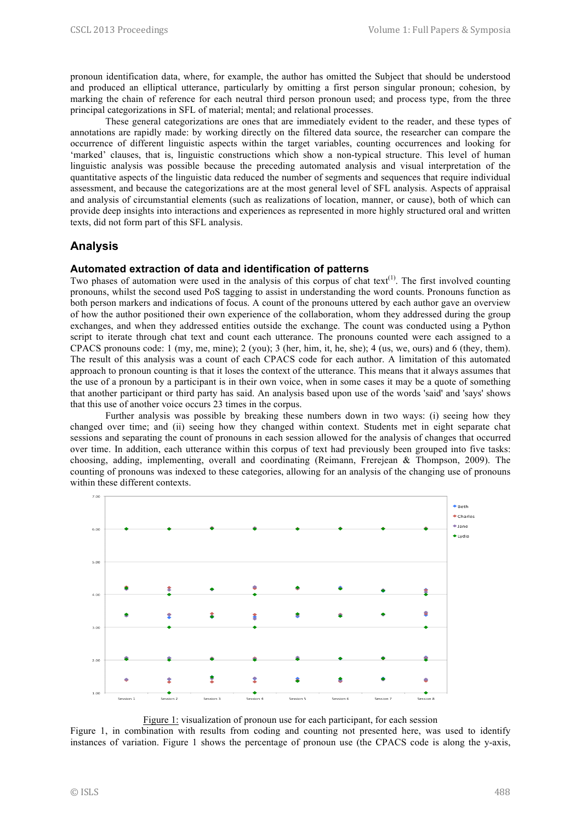pronoun identification data, where, for example, the author has omitted the Subject that should be understood and produced an elliptical utterance, particularly by omitting a first person singular pronoun; cohesion, by marking the chain of reference for each neutral third person pronoun used; and process type, from the three principal categorizations in SFL of material; mental; and relational processes.

These general categorizations are ones that are immediately evident to the reader, and these types of annotations are rapidly made: by working directly on the filtered data source, the researcher can compare the occurrence of different linguistic aspects within the target variables, counting occurrences and looking for 'marked' clauses, that is, linguistic constructions which show a non-typical structure. This level of human linguistic analysis was possible because the preceding automated analysis and visual interpretation of the quantitative aspects of the linguistic data reduced the number of segments and sequences that require individual assessment, and because the categorizations are at the most general level of SFL analysis. Aspects of appraisal and analysis of circumstantial elements (such as realizations of location, manner, or cause), both of which can provide deep insights into interactions and experiences as represented in more highly structured oral and written texts, did not form part of this SFL analysis.

# **Analysis**

#### **Automated extraction of data and identification of patterns**

Two phases of automation were used in the analysis of this corpus of chat text $(1)$ . The first involved counting pronouns, whilst the second used PoS tagging to assist in understanding the word counts. Pronouns function as both person markers and indications of focus. A count of the pronouns uttered by each author gave an overview of how the author positioned their own experience of the collaboration, whom they addressed during the group exchanges, and when they addressed entities outside the exchange. The count was conducted using a Python script to iterate through chat text and count each utterance. The pronouns counted were each assigned to a CPACS pronouns code: 1 (my, me, mine); 2 (you); 3 (her, him, it, he, she); 4 (us, we, ours) and 6 (they, them). The result of this analysis was a count of each CPACS code for each author. A limitation of this automated approach to pronoun counting is that it loses the context of the utterance. This means that it always assumes that the use of a pronoun by a participant is in their own voice, when in some cases it may be a quote of something that another participant or third party has said. An analysis based upon use of the words 'said' and 'says' shows that this use of another voice occurs 23 times in the corpus.

Further analysis was possible by breaking these numbers down in two ways: (i) seeing how they changed over time; and (ii) seeing how they changed within context. Students met in eight separate chat sessions and separating the count of pronouns in each session allowed for the analysis of changes that occurred over time. In addition, each utterance within this corpus of text had previously been grouped into five tasks: choosing, adding, implementing, overall and coordinating (Reimann, Frerejean & Thompson, 2009). The counting of pronouns was indexed to these categories, allowing for an analysis of the changing use of pronouns within these different contexts.



Figure 1: visualization of pronoun use for each participant, for each session

Figure 1, in combination with results from coding and counting not presented here, was used to identify instances of variation. Figure 1 shows the percentage of pronoun use (the CPACS code is along the y-axis,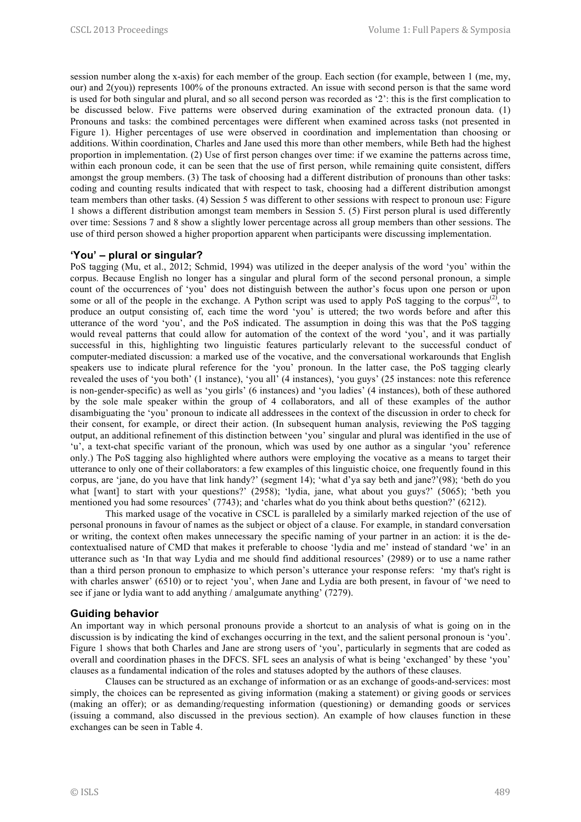session number along the x-axis) for each member of the group. Each section (for example, between 1 (me, my, our) and  $2(vou)$ ) represents 100% of the pronouns extracted. An issue with second person is that the same word is used for both singular and plural, and so all second person was recorded as '2': this is the first complication to be discussed below. Five patterns were observed during examination of the extracted pronoun data. (1) Pronouns and tasks: the combined percentages were different when examined across tasks (not presented in Figure 1). Higher percentages of use were observed in coordination and implementation than choosing or additions. Within coordination, Charles and Jane used this more than other members, while Beth had the highest proportion in implementation. (2) Use of first person changes over time: if we examine the patterns across time, within each pronoun code, it can be seen that the use of first person, while remaining quite consistent, differs amongst the group members. (3) The task of choosing had a different distribution of pronouns than other tasks: coding and counting results indicated that with respect to task, choosing had a different distribution amongst team members than other tasks. (4) Session 5 was different to other sessions with respect to pronoun use: Figure 1 shows a different distribution amongst team members in Session 5. (5) First person plural is used differently over time: Sessions 7 and 8 show a slightly lower percentage across all group members than other sessions. The use of third person showed a higher proportion apparent when participants were discussing implementation.

### **'You' – plural or singular?**

PoS tagging (Mu, et al., 2012; Schmid, 1994) was utilized in the deeper analysis of the word 'you' within the corpus. Because English no longer has a singular and plural form of the second personal pronoun, a simple count of the occurrences of 'you' does not distinguish between the author's focus upon one person or upon some or all of the people in the exchange. A Python script was used to apply PoS tagging to the corpus<sup>(2)</sup>, to produce an output consisting of, each time the word 'you' is uttered; the two words before and after this utterance of the word 'you', and the PoS indicated. The assumption in doing this was that the PoS tagging would reveal patterns that could allow for automation of the context of the word 'you', and it was partially successful in this, highlighting two linguistic features particularly relevant to the successful conduct of computer-mediated discussion: a marked use of the vocative, and the conversational workarounds that English speakers use to indicate plural reference for the 'you' pronoun. In the latter case, the PoS tagging clearly revealed the uses of 'you both' (1 instance), 'you all' (4 instances), 'you guys' (25 instances: note this reference is non-gender-specific) as well as 'you girls' (6 instances) and 'you ladies' (4 instances), both of these authored by the sole male speaker within the group of 4 collaborators, and all of these examples of the author disambiguating the 'you' pronoun to indicate all addressees in the context of the discussion in order to check for their consent, for example, or direct their action. (In subsequent human analysis, reviewing the PoS tagging output, an additional refinement of this distinction between 'you' singular and plural was identified in the use of 'u', a text-chat specific variant of the pronoun, which was used by one author as a singular 'you' reference only.) The PoS tagging also highlighted where authors were employing the vocative as a means to target their utterance to only one of their collaborators: a few examples of this linguistic choice, one frequently found in this corpus, are 'jane, do you have that link handy?' (segment 14); 'what d'ya say beth and jane?'(98); 'beth do you what [want] to start with your questions?' (2958); 'lydia, jane, what about you guys?' (5065); 'beth you mentioned you had some resources' (7743); and 'charles what do you think about beths question?' (6212).

This marked usage of the vocative in CSCL is paralleled by a similarly marked rejection of the use of personal pronouns in favour of names as the subject or object of a clause. For example, in standard conversation or writing, the context often makes unnecessary the specific naming of your partner in an action: it is the decontextualised nature of CMD that makes it preferable to choose 'lydia and me' instead of standard 'we' in an utterance such as 'In that way Lydia and me should find additional resources' (2989) or to use a name rather than a third person pronoun to emphasize to which person's utterance your response refers: 'my that's right is with charles answer' (6510) or to reject 'you', when Jane and Lydia are both present, in favour of 'we need to see if jane or lydia want to add anything / amalgumate anything' (7279).

#### **Guiding behavior**

An important way in which personal pronouns provide a shortcut to an analysis of what is going on in the discussion is by indicating the kind of exchanges occurring in the text, and the salient personal pronoun is 'you'. Figure 1 shows that both Charles and Jane are strong users of 'you', particularly in segments that are coded as overall and coordination phases in the DFCS. SFL sees an analysis of what is being 'exchanged' by these 'you' clauses as a fundamental indication of the roles and statuses adopted by the authors of these clauses.

Clauses can be structured as an exchange of information or as an exchange of goods-and-services: most simply, the choices can be represented as giving information (making a statement) or giving goods or services (making an offer); or as demanding/requesting information (questioning) or demanding goods or services (issuing a command, also discussed in the previous section). An example of how clauses function in these exchanges can be seen in Table 4.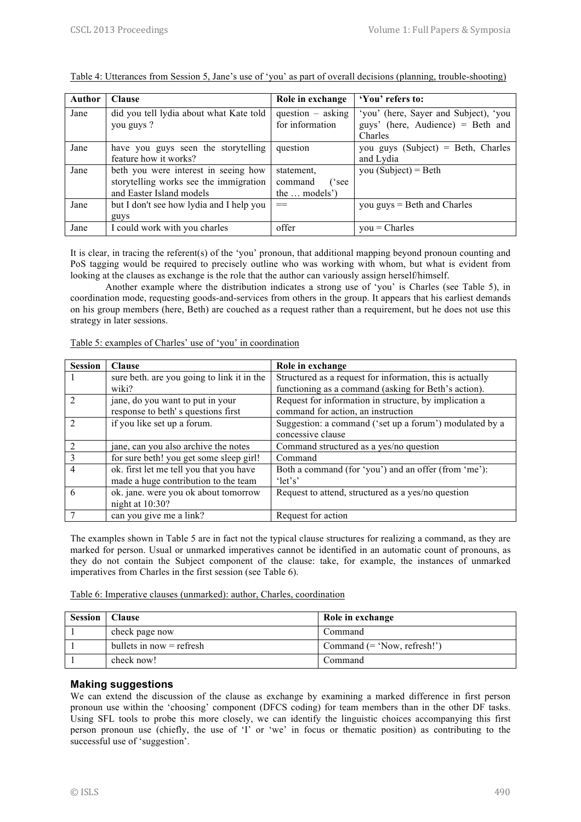| <b>Author</b> | <b>Clause</b>                            | Role in exchange    | 'You' refers to:                   |
|---------------|------------------------------------------|---------------------|------------------------------------|
| Jane          | did you tell lydia about what Kate told  | question $-$ asking |                                    |
|               | you guys ?                               | for information     | guys' (here, Audience) = Beth and  |
|               |                                          |                     | Charles                            |
| Jane          | have you guys seen the storytelling      | question            | you guys (Subject) = Beth, Charles |
|               | feature how it works?                    |                     | and Lydia                          |
| Jane          | beth you were interest in seeing how     | statement,          | you (Subject) = Beth               |
|               | storytelling works see the immigration   | command<br>('see    |                                    |
|               | and Easter Island models                 | the  models')       |                                    |
| Jane          | but I don't see how lydia and I help you | $==$                | you $guys = Beth$ and Charles      |
|               | guys                                     |                     |                                    |
| Jane          | I could work with you charles            | offer               | $you = Charles$                    |

Table 4: Utterances from Session 5, Jane's use of 'you' as part of overall decisions (planning, trouble-shooting)

It is clear, in tracing the referent(s) of the 'you' pronoun, that additional mapping beyond pronoun counting and PoS tagging would be required to precisely outline who was working with whom, but what is evident from looking at the clauses as exchange is the role that the author can variously assign herself/himself.

Another example where the distribution indicates a strong use of 'you' is Charles (see Table 5), in coordination mode, requesting goods-and-services from others in the group. It appears that his earliest demands on his group members (here, Beth) are couched as a request rather than a requirement, but he does not use this strategy in later sessions.

| <b>Session</b> | <b>Clause</b>                              | Role in exchange                                          |  |  |
|----------------|--------------------------------------------|-----------------------------------------------------------|--|--|
|                | sure beth. are you going to link it in the | Structured as a request for information, this is actually |  |  |
|                | wiki?                                      | functioning as a command (asking for Beth's action).      |  |  |
| $\mathcal{D}$  | jane, do you want to put in your           | Request for information in structure, by implication a    |  |  |
|                | response to beth's questions first         | command for action, an instruction                        |  |  |
| $\mathcal{D}$  | if you like set up a forum.                | Suggestion: a command ('set up a forum') modulated by a   |  |  |
|                |                                            | concessive clause                                         |  |  |
| $\mathcal{D}$  | jane, can you also archive the notes       | Command structured as a yes/no question                   |  |  |
| $\mathcal{R}$  | for sure beth! you get some sleep girl!    | Command                                                   |  |  |
| 4              | ok. first let me tell you that you have    | Both a command (for 'you') and an offer (from 'me'):      |  |  |
|                | made a huge contribution to the team       | 'let's'                                                   |  |  |
| 6              | ok. jane. were you ok about tomorrow       | Request to attend, structured as a yes/no question        |  |  |
|                | night at 10:30?                            |                                                           |  |  |
|                | can you give me a link?                    | Request for action                                        |  |  |

Table 5: examples of Charles' use of 'you' in coordination

The examples shown in Table 5 are in fact not the typical clause structures for realizing a command, as they are marked for person. Usual or unmarked imperatives cannot be identified in an automatic count of pronouns, as they do not contain the Subject component of the clause: take, for example, the instances of unmarked imperatives from Charles in the first session (see Table 6).

Table 6: Imperative clauses (unmarked): author, Charles, coordination

| <b>Session</b>   Clause |                            | Role in exchange              |
|-------------------------|----------------------------|-------------------------------|
|                         | check page now             | Command                       |
|                         | bullets in now $=$ refresh | Command $(= 'Now, refresh!)'$ |
|                         | check now!                 | Command                       |

#### **Making suggestions**

We can extend the discussion of the clause as exchange by examining a marked difference in first person pronoun use within the 'choosing' component (DFCS coding) for team members than in the other DF tasks. Using SFL tools to probe this more closely, we can identify the linguistic choices accompanying this first person pronoun use (chiefly, the use of 'I' or 'we' in focus or thematic position) as contributing to the successful use of 'suggestion'.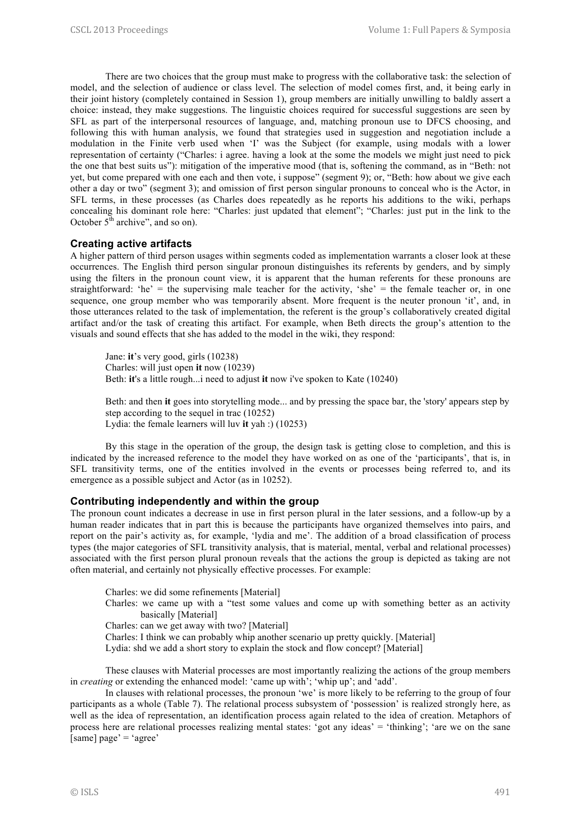There are two choices that the group must make to progress with the collaborative task: the selection of model, and the selection of audience or class level. The selection of model comes first, and, it being early in their joint history (completely contained in Session 1), group members are initially unwilling to baldly assert a choice: instead, they make suggestions. The linguistic choices required for successful suggestions are seen by SFL as part of the interpersonal resources of language, and, matching pronoun use to DFCS choosing, and following this with human analysis, we found that strategies used in suggestion and negotiation include a modulation in the Finite verb used when 'I' was the Subject (for example, using modals with a lower representation of certainty ("Charles: i agree. having a look at the some the models we might just need to pick the one that best suits us"): mitigation of the imperative mood (that is, softening the command, as in "Beth: not yet, but come prepared with one each and then vote, i suppose" (segment 9); or, "Beth: how about we give each other a day or two" (segment 3); and omission of first person singular pronouns to conceal who is the Actor, in SFL terms, in these processes (as Charles does repeatedly as he reports his additions to the wiki, perhaps concealing his dominant role here: "Charles: just updated that element"; "Charles: just put in the link to the October  $5<sup>th</sup>$  archive", and so on).

#### **Creating active artifacts**

A higher pattern of third person usages within segments coded as implementation warrants a closer look at these occurrences. The English third person singular pronoun distinguishes its referents by genders, and by simply using the filters in the pronoun count view, it is apparent that the human referents for these pronouns are straightforward: 'he' = the supervising male teacher for the activity, 'she' = the female teacher or, in one sequence, one group member who was temporarily absent. More frequent is the neuter pronoun 'it', and, in those utterances related to the task of implementation, the referent is the group's collaboratively created digital artifact and/or the task of creating this artifact. For example, when Beth directs the group's attention to the visuals and sound effects that she has added to the model in the wiki, they respond:

Jane: **it**'s very good, girls (10238) Charles: will just open **it** now (10239) Beth: **it**'s a little rough...i need to adjust **it** now i've spoken to Kate (10240)

Beth: and then **it** goes into storytelling mode... and by pressing the space bar, the 'story' appears step by step according to the sequel in trac (10252) Lydia: the female learners will luv **it** yah :) (10253)

By this stage in the operation of the group, the design task is getting close to completion, and this is indicated by the increased reference to the model they have worked on as one of the 'participants', that is, in SFL transitivity terms, one of the entities involved in the events or processes being referred to, and its emergence as a possible subject and Actor (as in 10252).

#### **Contributing independently and within the group**

The pronoun count indicates a decrease in use in first person plural in the later sessions, and a follow-up by a human reader indicates that in part this is because the participants have organized themselves into pairs, and report on the pair's activity as, for example, 'lydia and me'. The addition of a broad classification of process types (the major categories of SFL transitivity analysis, that is material, mental, verbal and relational processes) associated with the first person plural pronoun reveals that the actions the group is depicted as taking are not often material, and certainly not physically effective processes. For example:

Charles: we did some refinements [Material]

Charles: we came up with a "test some values and come up with something better as an activity basically [Material]

Charles: can we get away with two? [Material]

Charles: I think we can probably whip another scenario up pretty quickly. [Material]

Lydia: shd we add a short story to explain the stock and flow concept? [Material]

These clauses with Material processes are most importantly realizing the actions of the group members in *creating* or extending the enhanced model: 'came up with'; 'whip up'; and 'add'.

In clauses with relational processes, the pronoun 'we' is more likely to be referring to the group of four participants as a whole (Table 7). The relational process subsystem of 'possession' is realized strongly here, as well as the idea of representation, an identification process again related to the idea of creation. Metaphors of process here are relational processes realizing mental states: 'got any ideas' = 'thinking'; 'are we on the sane [same] page' = 'agree'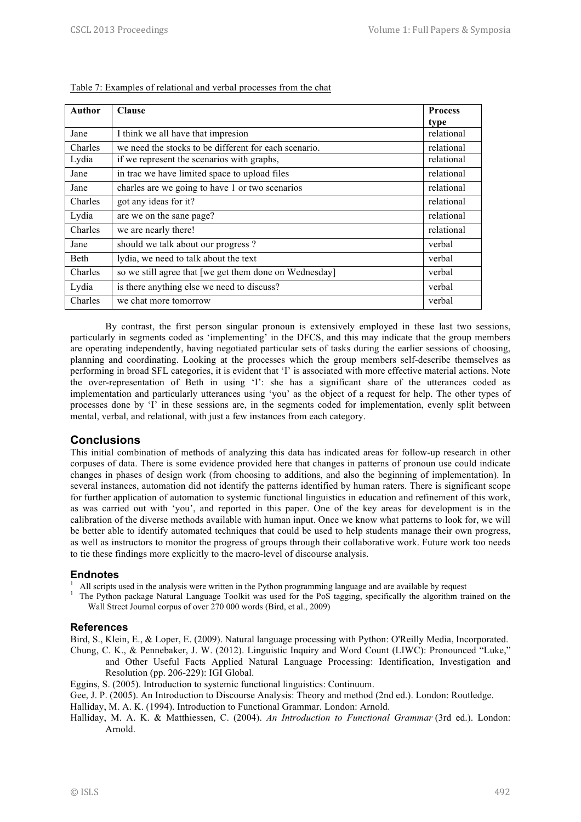| Author         | <b>Clause</b>                                          | <b>Process</b> |
|----------------|--------------------------------------------------------|----------------|
|                |                                                        | type           |
| Jane           | I think we all have that impresion                     | relational     |
| <b>Charles</b> | we need the stocks to be different for each scenario.  | relational     |
| Lydia          | if we represent the scenarios with graphs,             | relational     |
| Jane           | in trac we have limited space to upload files          | relational     |
| Jane           | charles are we going to have 1 or two scenarios        | relational     |
| <b>Charles</b> | got any ideas for it?                                  | relational     |
| Lydia          | are we on the sane page?                               | relational     |
| Charles        | we are nearly there!                                   | relational     |
| Jane           | should we talk about our progress?                     | verbal         |
| Beth           | lydia, we need to talk about the text                  | verbal         |
| <b>Charles</b> | so we still agree that [we get them done on Wednesday] | verbal         |
| Lydia          | is there anything else we need to discuss?             | verbal         |
| <b>Charles</b> | we chat more tomorrow                                  | verbal         |

| Table 7: Examples of relational and verbal processes from the chat |  |  |
|--------------------------------------------------------------------|--|--|
|                                                                    |  |  |

By contrast, the first person singular pronoun is extensively employed in these last two sessions, particularly in segments coded as 'implementing' in the DFCS, and this may indicate that the group members are operating independently, having negotiated particular sets of tasks during the earlier sessions of choosing, planning and coordinating. Looking at the processes which the group members self-describe themselves as performing in broad SFL categories, it is evident that 'I' is associated with more effective material actions. Note the over-representation of Beth in using 'I': she has a significant share of the utterances coded as implementation and particularly utterances using 'you' as the object of a request for help. The other types of processes done by 'I' in these sessions are, in the segments coded for implementation, evenly split between mental, verbal, and relational, with just a few instances from each category.

# **Conclusions**

This initial combination of methods of analyzing this data has indicated areas for follow-up research in other corpuses of data. There is some evidence provided here that changes in patterns of pronoun use could indicate changes in phases of design work (from choosing to additions, and also the beginning of implementation). In several instances, automation did not identify the patterns identified by human raters. There is significant scope for further application of automation to systemic functional linguistics in education and refinement of this work, as was carried out with 'you', and reported in this paper. One of the key areas for development is in the calibration of the diverse methods available with human input. Once we know what patterns to look for, we will be better able to identify automated techniques that could be used to help students manage their own progress, as well as instructors to monitor the progress of groups through their collaborative work. Future work too needs to tie these findings more explicitly to the macro-level of discourse analysis.

# **Endnotes**

- 1 All scripts used in the analysis were written in the Python programming language and are available by request 1
	- The Python package Natural Language Toolkit was used for the PoS tagging, specifically the algorithm trained on the Wall Street Journal corpus of over 270 000 words (Bird, et al., 2009)

#### **References**

Bird, S., Klein, E., & Loper, E. (2009). Natural language processing with Python: O'Reilly Media, Incorporated.

- Chung, C. K., & Pennebaker, J. W. (2012). Linguistic Inquiry and Word Count (LIWC): Pronounced "Luke," and Other Useful Facts Applied Natural Language Processing: Identification, Investigation and Resolution (pp. 206-229): IGI Global.
- Eggins, S. (2005). Introduction to systemic functional linguistics: Continuum.
- Gee, J. P. (2005). An Introduction to Discourse Analysis: Theory and method (2nd ed.). London: Routledge.
- Halliday, M. A. K. (1994). Introduction to Functional Grammar. London: Arnold.
- Halliday, M. A. K. & Matthiessen, C. (2004). *An Introduction to Functional Grammar* (3rd ed.). London: Arnold.